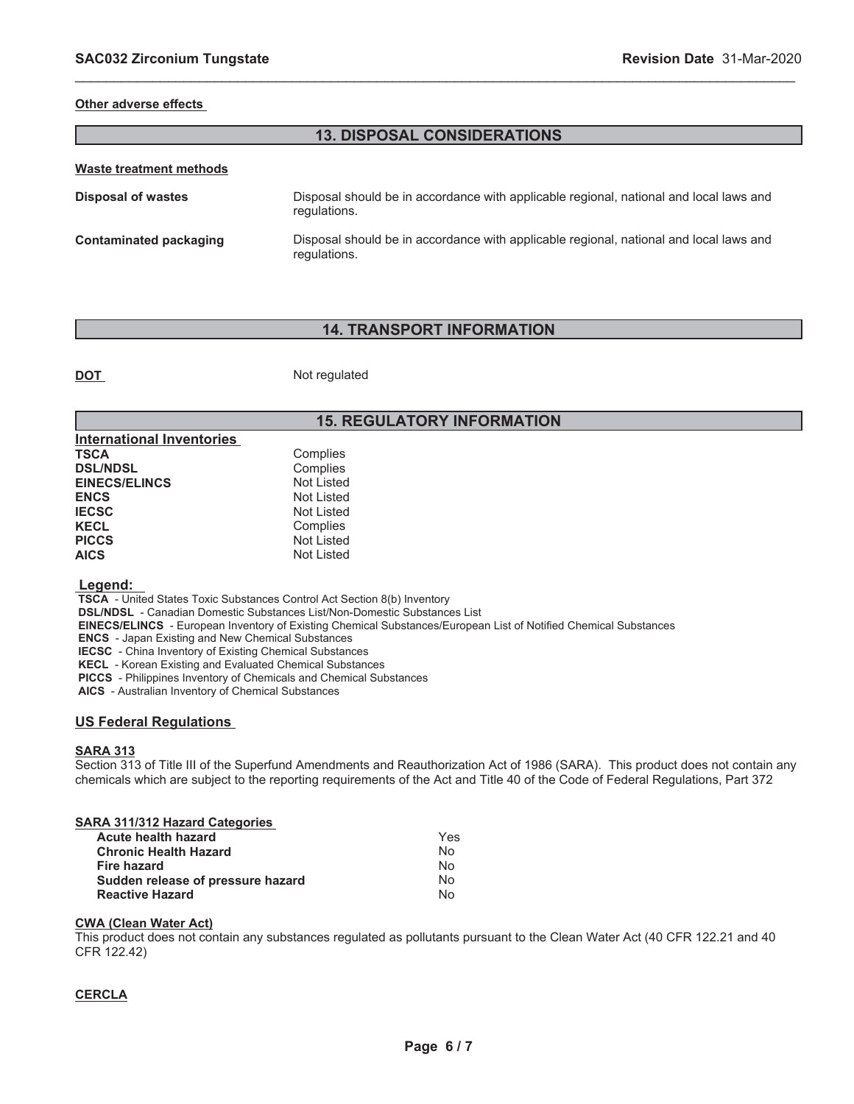### **Other adverse effects**

## **13. DISPOSAL CONSIDERATIONS**

\_\_\_\_\_\_\_\_\_\_\_\_\_\_\_\_\_\_\_\_\_\_\_\_\_\_\_\_\_\_\_\_\_\_\_\_\_\_\_\_\_\_\_\_\_\_\_\_\_\_\_\_\_\_\_\_\_\_\_\_\_\_\_\_\_\_\_\_\_\_\_\_\_\_\_\_\_\_\_\_\_\_\_\_\_\_\_\_\_\_\_\_\_

| Disposal of wastes     | Disposal should be in accordance with applicable regional, national and local laws and<br>regulations. |
|------------------------|--------------------------------------------------------------------------------------------------------|
| Contaminated packaging | Disposal should be in accordance with applicable regional, national and local laws and<br>regulations. |

# **14. TRANSPORT INFORMATION**

**DOT** Not regulated

# **15. REGULATORY INFORMATION**

| <b>International Inventories</b> |                   |
|----------------------------------|-------------------|
| TSCA                             | Complies          |
| <b>DSL/NDSL</b>                  | Complies          |
| <b>EINECS/ELINCS</b>             | <b>Not Listed</b> |
| <b>ENCS</b>                      | Not Listed        |
| <b>IECSC</b>                     | Not Listed        |
| <b>KECL</b>                      | Complies          |
| <b>PICCS</b>                     | <b>Not Listed</b> |
| <b>AICS</b>                      | <b>Not Listed</b> |

#### **Legend:**

 **TSCA** - United States Toxic Substances Control Act Section 8(b) Inventory

 **DSL/NDSL** - Canadian Domestic Substances List/Non-Domestic Substances List

 **EINECS/ELINCS** - European Inventory of Existing Chemical Substances/European List of Notified Chemical Substances

 **ENCS** - Japan Existing and New Chemical Substances

 **IECSC** - China Inventory of Existing Chemical Substances

 **KECL** - Korean Existing and Evaluated Chemical Substances

 **PICCS** - Philippines Inventory of Chemicals and Chemical Substances

 **AICS** - Australian Inventory of Chemical Substances

## **US Federal Regulations**

## **SARA 313**

Section 313 of Title III of the Superfund Amendments and Reauthorization Act of 1986 (SARA). This product does not contain any chemicals which are subject to the reporting requirements of the Act and Title 40 of the Code of Federal Regulations, Part 372

| SARA 311/312 Hazard Categories    |     |
|-----------------------------------|-----|
| Acute health hazard               | Yes |
| <b>Chronic Health Hazard</b>      | N٥  |
| Fire hazard                       | No  |
| Sudden release of pressure hazard | No  |
| <b>Reactive Hazard</b>            | No  |

#### **CWA (Clean Water Act)**

This product does not contain any substances regulated as pollutants pursuant to the Clean Water Act (40 CFR 122.21 and 40 CFR 122.42)

### **CERCLA**